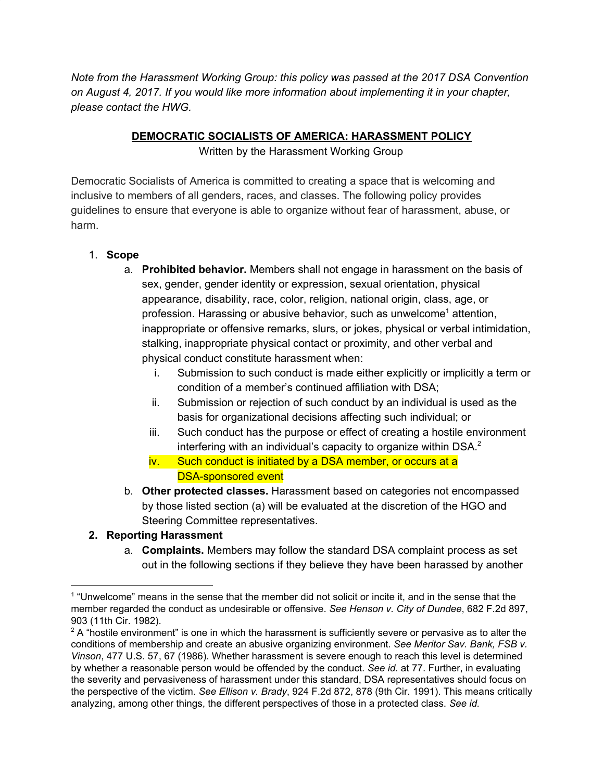*Note from the Harassment Working Group: this policy was passed at the 2017 DSA Convention on August 4, 2017. If you would like more information about implementing it in your chapter, please contact the HWG.*

#### **DEMOCRATIC SOCIALISTS OF AMERICA: HARASSMENT POLICY**

Written by the Harassment Working Group

Democratic Socialists of America is committed to creating a space that is welcoming and inclusive to members of all genders, races, and classes. The following policy provides guidelines to ensure that everyone is able to organize without fear of harassment, abuse, or harm.

### 1. **Scope**

- a. **Prohibited behavior.** Members shall not engage in harassment on the basis of sex, gender, gender identity or expression, sexual orientation, physical appearance, disability, race, color, religion, national origin, class, age, or profession. Harassing or abusive behavior, such as unwelcome<sup>1</sup> attention, inappropriate or offensive remarks, slurs, or jokes, physical or verbal intimidation, stalking, inappropriate physical contact or proximity, and other verbal and physical conduct constitute harassment when:
	- i. Submission to such conduct is made either explicitly or implicitly a term or condition of a member's continued affiliation with DSA;
	- ii. Submission or rejection of such conduct by an individual is used as the basis for organizational decisions affecting such individual; or
	- iii. Such conduct has the purpose or effect of creating a hostile environment interfering with an individual's capacity to organize within DSA. $^2$
	- iv. Such conduct is initiated by a DSA member, or occurs at a DSA-sponsored event
- b. **Other protected classes.** Harassment based on categories not encompassed by those listed section (a) will be evaluated at the discretion of the HGO and Steering Committee representatives.

### **2. Reporting Harassment**

a. **Complaints.** Members may follow the standard DSA complaint process as set out in the following sections if they believe they have been harassed by another

<sup>1</sup> "Unwelcome" means in the sense that the member did not solicit or incite it, and in the sense that the member regarded the conduct as undesirable or offensive. *See Henson v. City of Dundee*, 682 F.2d 897, 903 (11th Cir. 1982).

 $2$  A "hostile environment" is one in which the harassment is sufficiently severe or pervasive as to alter the conditions of membership and create an abusive organizing environment. *See Meritor Sav. Bank, FSB v. Vinson*, 477 U.S. 57, 67 (1986). Whether harassment is severe enough to reach this level is determined by whether a reasonable person would be offended by the conduct. *See id.* at 77. Further, in evaluating the severity and pervasiveness of harassment under this standard, DSA representatives should focus on the perspective of the victim. *See Ellison v. Brady*, 924 F.2d 872, 878 (9th Cir. 1991). This means critically analyzing, among other things, the different perspectives of those in a protected class. *See id.*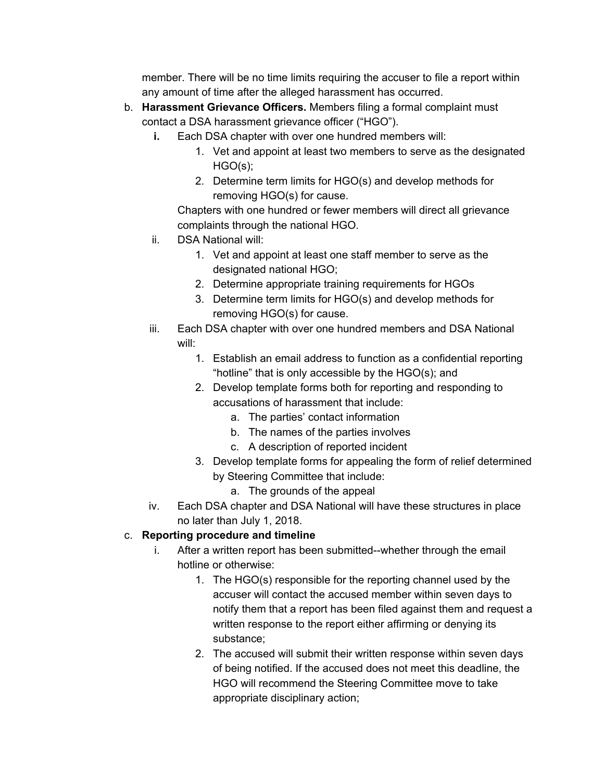member. There will be no time limits requiring the accuser to file a report within any amount of time after the alleged harassment has occurred.

- b. **Harassment Grievance Officers.** Members filing a formal complaint must contact a DSA harassment grievance officer ("HGO").
	- **i.** Each DSA chapter with over one hundred members will:
		- 1. Vet and appoint at least two members to serve as the designated HGO(s);
		- 2. Determine term limits for HGO(s) and develop methods for removing HGO(s) for cause.

Chapters with one hundred or fewer members will direct all grievance complaints through the national HGO.

- ii. DSA National will:
	- 1. Vet and appoint at least one staff member to serve as the designated national HGO;
	- 2. Determine appropriate training requirements for HGOs
	- 3. Determine term limits for HGO(s) and develop methods for removing HGO(s) for cause.
- iii. Each DSA chapter with over one hundred members and DSA National will:
	- 1. Establish an email address to function as a confidential reporting "hotline" that is only accessible by the HGO(s); and
	- 2. Develop template forms both for reporting and responding to accusations of harassment that include:
		- a. The parties' contact information
		- b. The names of the parties involves
		- c. A description of reported incident
	- 3. Develop template forms for appealing the form of relief determined by Steering Committee that include:
		- a. The grounds of the appeal
- iv. Each DSA chapter and DSA National will have these structures in place no later than July 1, 2018.

## c. **Reporting procedure and timeline**

- i. After a written report has been submitted--whether through the email hotline or otherwise:
	- 1. The HGO(s) responsible for the reporting channel used by the accuser will contact the accused member within seven days to notify them that a report has been filed against them and request a written response to the report either affirming or denying its substance;
	- 2. The accused will submit their written response within seven days of being notified. If the accused does not meet this deadline, the HGO will recommend the Steering Committee move to take appropriate disciplinary action;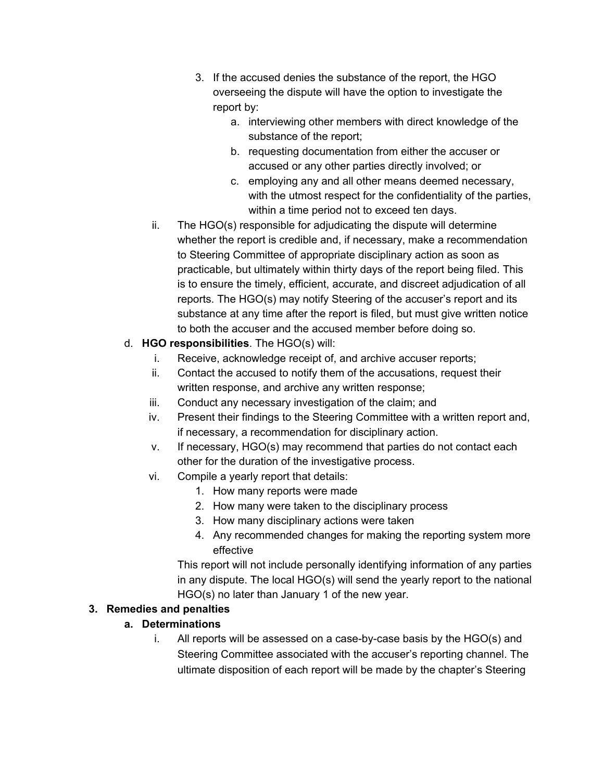- 3. If the accused denies the substance of the report, the HGO overseeing the dispute will have the option to investigate the report by:
	- a. interviewing other members with direct knowledge of the substance of the report;
	- b. requesting documentation from either the accuser or accused or any other parties directly involved; or
	- c. employing any and all other means deemed necessary, with the utmost respect for the confidentiality of the parties, within a time period not to exceed ten days.
- ii. The HGO(s) responsible for adjudicating the dispute will determine whether the report is credible and, if necessary, make a recommendation to Steering Committee of appropriate disciplinary action as soon as practicable, but ultimately within thirty days of the report being filed. This is to ensure the timely, efficient, accurate, and discreet adjudication of all reports. The HGO(s) may notify Steering of the accuser's report and its substance at any time after the report is filed, but must give written notice to both the accuser and the accused member before doing so.

## d. **HGO responsibilities**. The HGO(s) will:

- i. Receive, acknowledge receipt of, and archive accuser reports;
- ii. Contact the accused to notify them of the accusations, request their written response, and archive any written response;
- iii. Conduct any necessary investigation of the claim; and
- iv. Present their findings to the Steering Committee with a written report and, if necessary, a recommendation for disciplinary action.
- v. If necessary, HGO(s) may recommend that parties do not contact each other for the duration of the investigative process.
- vi. Compile a yearly report that details:
	- 1. How many reports were made
	- 2. How many were taken to the disciplinary process
	- 3. How many disciplinary actions were taken
	- 4. Any recommended changes for making the reporting system more effective

This report will not include personally identifying information of any parties in any dispute. The local HGO(s) will send the yearly report to the national HGO(s) no later than January 1 of the new year.

# **3. Remedies and penalties**

# **a. Determinations**

i. All reports will be assessed on a case-by-case basis by the HGO(s) and Steering Committee associated with the accuser's reporting channel. The ultimate disposition of each report will be made by the chapter's Steering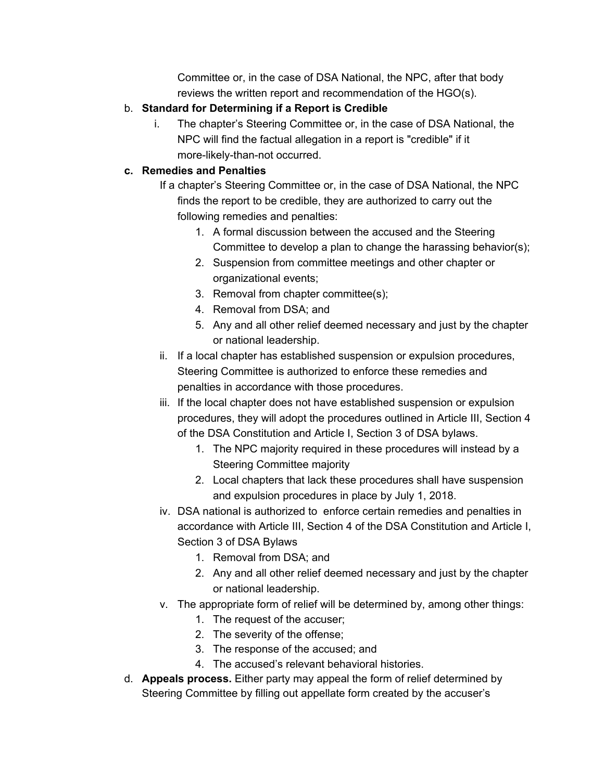Committee or, in the case of DSA National, the NPC, after that body reviews the written report and recommendation of the HGO(s).

## b. **Standard for Determining if a Report is Credible**

i. The chapter's Steering Committee or, in the case of DSA National, the NPC will find the factual allegation in a report is "credible" if it more-likely-than-not occurred.

### **c. Remedies and Penalties**

If a chapter's Steering Committee or, in the case of DSA National, the NPC finds the report to be credible, they are authorized to carry out the following remedies and penalties:

- 1. A formal discussion between the accused and the Steering Committee to develop a plan to change the harassing behavior(s);
- 2. Suspension from committee meetings and other chapter or organizational events;
- 3. Removal from chapter committee(s);
- 4. Removal from DSA; and
- 5. Any and all other relief deemed necessary and just by the chapter or national leadership.
- ii. If a local chapter has established suspension or expulsion procedures, Steering Committee is authorized to enforce these remedies and penalties in accordance with those procedures.
- iii. If the local chapter does not have established suspension or expulsion procedures, they will adopt the procedures outlined in Article III, Section 4 of the DSA Constitution and Article I, Section 3 of DSA bylaws.
	- 1. The NPC majority required in these procedures will instead by a Steering Committee majority
	- 2. Local chapters that lack these procedures shall have suspension and expulsion procedures in place by July 1, 2018.
- iv. DSA national is authorized to enforce certain remedies and penalties in accordance with Article III, Section 4 of the DSA Constitution and Article I, Section 3 of DSA Bylaws
	- 1. Removal from DSA; and
	- 2. Any and all other relief deemed necessary and just by the chapter or national leadership.
- v. The appropriate form of relief will be determined by, among other things:
	- 1. The request of the accuser;
	- 2. The severity of the offense;
	- 3. The response of the accused; and
	- 4. The accused's relevant behavioral histories.
- d. **Appeals process.** Either party may appeal the form of relief determined by Steering Committee by filling out appellate form created by the accuser's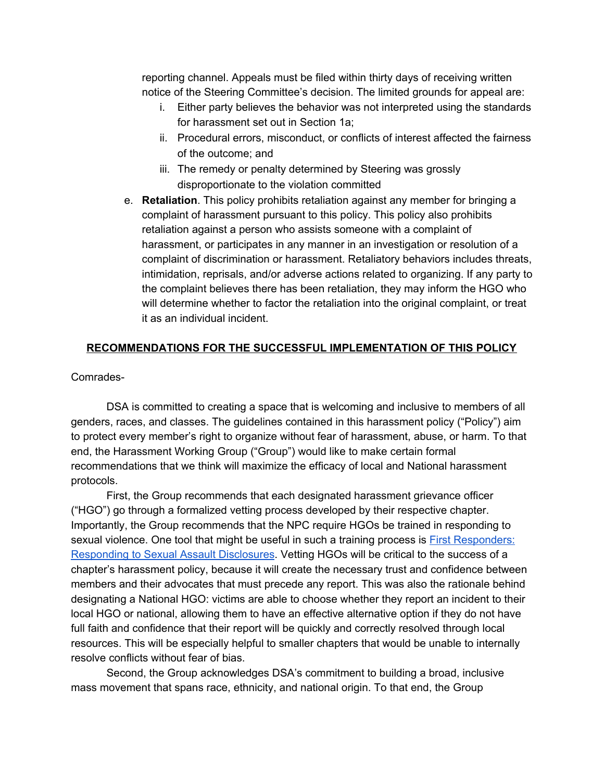reporting channel. Appeals must be filed within thirty days of receiving written notice of the Steering Committee's decision. The limited grounds for appeal are:

- i. Either party believes the behavior was not interpreted using the standards for harassment set out in Section 1a;
- ii. Procedural errors, misconduct, or conflicts of interest affected the fairness of the outcome; and
- iii. The remedy or penalty determined by Steering was grossly disproportionate to the violation committed
- e. **Retaliation**. This policy prohibits retaliation against any member for bringing a complaint of harassment pursuant to this policy. This policy also prohibits retaliation against a person who assists someone with a complaint of harassment, or participates in any manner in an investigation or resolution of a complaint of discrimination or harassment. Retaliatory behaviors includes threats, intimidation, reprisals, and/or adverse actions related to organizing. If any party to the complaint believes there has been retaliation, they may inform the HGO who will determine whether to factor the retaliation into the original complaint, or treat it as an individual incident.

### **RECOMMENDATIONS FOR THE SUCCESSFUL IMPLEMENTATION OF THIS POLICY**

Comrades-

DSA is committed to creating a space that is welcoming and inclusive to members of all genders, races, and classes. The guidelines contained in this harassment policy ("Policy") aim to protect every member's right to organize without fear of harassment, abuse, or harm. To that end, the Harassment Working Group ("Group") would like to make certain formal recommendations that we think will maximize the efficacy of local and National harassment protocols.

First, the Group recommends that each designated harassment grievance officer ("HGO") go through a formalized vetting process developed by their respective chapter. Importantly, the Group recommends that the NPC require HGOs be trained in responding to sexual violence. One tool that might be useful in such a training process is First [Responders:](http://www.nearipress.org/courses/163-first-responders-responding-to-sexual-assault-disclosures) [Responding](http://www.nearipress.org/courses/163-first-responders-responding-to-sexual-assault-disclosures) to Sexual Assault Disclosures. Vetting HGOs will be critical to the success of a chapter's harassment policy, because it will create the necessary trust and confidence between members and their advocates that must precede any report. This was also the rationale behind designating a National HGO: victims are able to choose whether they report an incident to their local HGO or national, allowing them to have an effective alternative option if they do not have full faith and confidence that their report will be quickly and correctly resolved through local resources. This will be especially helpful to smaller chapters that would be unable to internally resolve conflicts without fear of bias.

Second, the Group acknowledges DSA's commitment to building a broad, inclusive mass movement that spans race, ethnicity, and national origin. To that end, the Group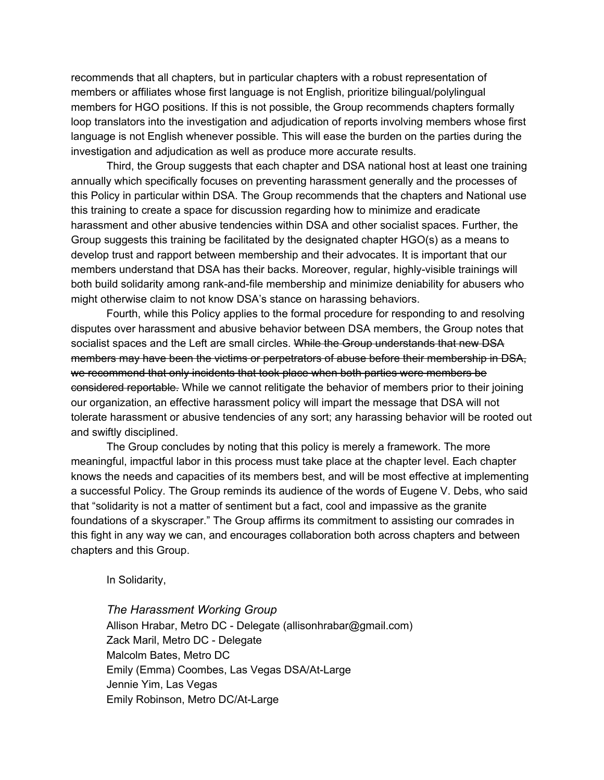recommends that all chapters, but in particular chapters with a robust representation of members or affiliates whose first language is not English, prioritize bilingual/polylingual members for HGO positions. If this is not possible, the Group recommends chapters formally loop translators into the investigation and adjudication of reports involving members whose first language is not English whenever possible. This will ease the burden on the parties during the investigation and adjudication as well as produce more accurate results.

Third, the Group suggests that each chapter and DSA national host at least one training annually which specifically focuses on preventing harassment generally and the processes of this Policy in particular within DSA. The Group recommends that the chapters and National use this training to create a space for discussion regarding how to minimize and eradicate harassment and other abusive tendencies within DSA and other socialist spaces. Further, the Group suggests this training be facilitated by the designated chapter HGO(s) as a means to develop trust and rapport between membership and their advocates. It is important that our members understand that DSA has their backs. Moreover, regular, highly-visible trainings will both build solidarity among rank-and-file membership and minimize deniability for abusers who might otherwise claim to not know DSA's stance on harassing behaviors.

Fourth, while this Policy applies to the formal procedure for responding to and resolving disputes over harassment and abusive behavior between DSA members, the Group notes that socialist spaces and the Left are small circles. While the Group understands that new DSA members may have been the victims or perpetrators of abuse before their membership in DSA, we recommend that only incidents that took place when both parties were members be considered reportable. While we cannot relitigate the behavior of members prior to their joining our organization, an effective harassment policy will impart the message that DSA will not tolerate harassment or abusive tendencies of any sort; any harassing behavior will be rooted out and swiftly disciplined.

The Group concludes by noting that this policy is merely a framework. The more meaningful, impactful labor in this process must take place at the chapter level. Each chapter knows the needs and capacities of its members best, and will be most effective at implementing a successful Policy. The Group reminds its audience of the words of Eugene V. Debs, who said that "solidarity is not a matter of sentiment but a fact, cool and impassive as the granite foundations of a skyscraper." The Group affirms its commitment to assisting our comrades in this fight in any way we can, and encourages collaboration both across chapters and between chapters and this Group.

In Solidarity,

*The Harassment Working Group* Allison Hrabar, Metro DC - Delegate (allisonhrabar@gmail.com) Zack Maril, Metro DC - Delegate Malcolm Bates, Metro DC Emily (Emma) Coombes, Las Vegas DSA/At-Large Jennie Yim, Las Vegas Emily Robinson, Metro DC/At-Large